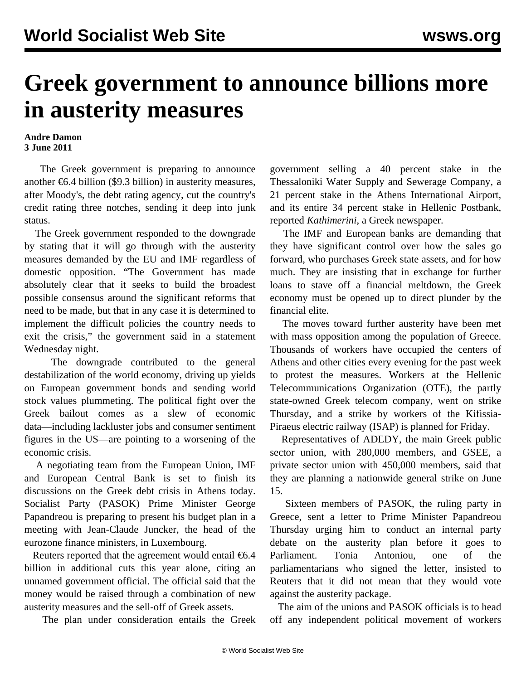## **Greek government to announce billions more in austerity measures**

## **Andre Damon 3 June 2011**

 The Greek government is preparing to announce another  $\epsilon$ 6.4 billion (\$9.3 billion) in austerity measures, after Moody's, the debt rating agency, cut the country's credit rating three notches, sending it deep into junk status.

 The Greek government responded to the downgrade by stating that it will go through with the austerity measures demanded by the EU and IMF regardless of domestic opposition. "The Government has made absolutely clear that it seeks to build the broadest possible consensus around the significant reforms that need to be made, but that in any case it is determined to implement the difficult policies the country needs to exit the crisis," the government said in a statement Wednesday night.

 The downgrade contributed to the general destabilization of the world economy, driving up yields on European government bonds and sending world stock values plummeting. The political fight over the Greek bailout comes as a slew of economic data—including lackluster jobs and consumer sentiment figures in the US—are pointing to a worsening of the economic crisis.

 A negotiating team from the European Union, IMF and European Central Bank is set to finish its discussions on the Greek debt crisis in Athens today. Socialist Party (PASOK) Prime Minister George Papandreou is preparing to present his budget plan in a meeting with Jean-Claude Juncker, the head of the eurozone finance ministers, in Luxembourg.

Reuters reported that the agreement would entail  $\epsilon$ 6.4 billion in additional cuts this year alone, citing an unnamed government official. The official said that the money would be raised through a combination of new austerity measures and the sell-off of Greek assets.

The plan under consideration entails the Greek

government selling a 40 percent stake in the Thessaloniki Water Supply and Sewerage Company, a 21 percent stake in the Athens International Airport, and its entire 34 percent stake in Hellenic Postbank, reported *Kathimerini*, a Greek newspaper.

 The IMF and European banks are demanding that they have significant control over how the sales go forward, who purchases Greek state assets, and for how much. They are insisting that in exchange for further loans to stave off a financial meltdown, the Greek economy must be opened up to direct plunder by the financial elite.

 The moves toward further austerity have been met with mass opposition among the population of Greece. Thousands of workers have occupied the centers of Athens and other cities every evening for the past week to protest the measures. Workers at the Hellenic Telecommunications Organization (OTE), the partly state-owned Greek telecom company, went on strike Thursday, and a strike by workers of the Kifissia-Piraeus electric railway (ISAP) is planned for Friday.

 Representatives of ADEDY, the main Greek public sector union, with 280,000 members, and GSEE, a private sector union with 450,000 members, said that they are planning a nationwide general strike on June 15.

 Sixteen members of PASOK, the ruling party in Greece, sent a letter to Prime Minister Papandreou Thursday urging him to conduct an internal party debate on the austerity plan before it goes to Parliament. Tonia Antoniou, one of the parliamentarians who signed the letter, insisted to Reuters that it did not mean that they would vote against the austerity package.

 The aim of the unions and PASOK officials is to head off any independent political movement of workers